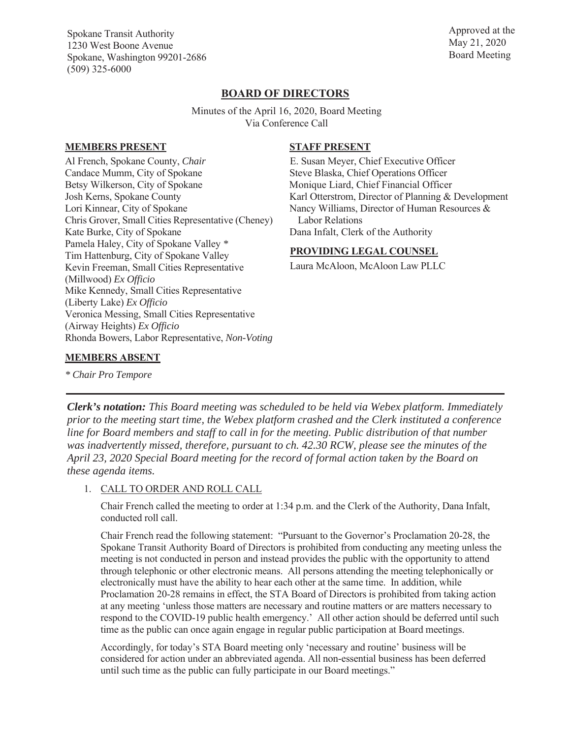Spokane Transit Authority 1230 West Boone Avenue Spokane, Washington 99201-2686 (509) 325-6000

Approved at the May 21, 2020 Board Meeting

# **BOARD OF DIRECTORS**

Minutes of the April 16, 2020, Board Meeting Via Conference Call

#### **MEMBERS PRESENT**

Al French, Spokane County, *Chair*  Candace Mumm, City of Spokane Betsy Wilkerson, City of Spokane Josh Kerns, Spokane County Lori Kinnear, City of Spokane Chris Grover, Small Cities Representative (Cheney) Kate Burke, City of Spokane Pamela Haley, City of Spokane Valley *\** Tim Hattenburg, City of Spokane Valley Kevin Freeman, Small Cities Representative (Millwood) *Ex Officio* Mike Kennedy, Small Cities Representative (Liberty Lake) *Ex Officio* Veronica Messing, Small Cities Representative (Airway Heights) *Ex Officio* Rhonda Bowers, Labor Representative, *Non-Voting*

### **STAFF PRESENT**

E. Susan Meyer, Chief Executive Officer Steve Blaska, Chief Operations Officer Monique Liard, Chief Financial Officer Karl Otterstrom, Director of Planning & Development Nancy Williams, Director of Human Resources & Labor Relations Dana Infalt, Clerk of the Authority

### **PROVIDING LEGAL COUNSEL**

Laura McAloon, McAloon Law PLLC

### **MEMBERS ABSENT**

*\* Chair Pro Tempore*

*Clerk's notation: This Board meeting was scheduled to be held via Webex platform. Immediately prior to the meeting start time, the Webex platform crashed and the Clerk instituted a conference line for Board members and staff to call in for the meeting. Public distribution of that number was inadvertently missed, therefore, pursuant to ch. 42.30 RCW, please see the minutes of the April 23, 2020 Special Board meeting for the record of formal action taken by the Board on these agenda items.*

1. CALL TO ORDER AND ROLL CALL

Chair French called the meeting to order at 1:34 p.m. and the Clerk of the Authority, Dana Infalt, conducted roll call.

Chair French read the following statement: "Pursuant to the Governor's Proclamation 20-28, the Spokane Transit Authority Board of Directors is prohibited from conducting any meeting unless the meeting is not conducted in person and instead provides the public with the opportunity to attend through telephonic or other electronic means. All persons attending the meeting telephonically or electronically must have the ability to hear each other at the same time. In addition, while Proclamation 20-28 remains in effect, the STA Board of Directors is prohibited from taking action at any meeting 'unless those matters are necessary and routine matters or are matters necessary to respond to the COVID-19 public health emergency.' All other action should be deferred until such time as the public can once again engage in regular public participation at Board meetings.

Accordingly, for today's STA Board meeting only 'necessary and routine' business will be considered for action under an abbreviated agenda. All non-essential business has been deferred until such time as the public can fully participate in our Board meetings."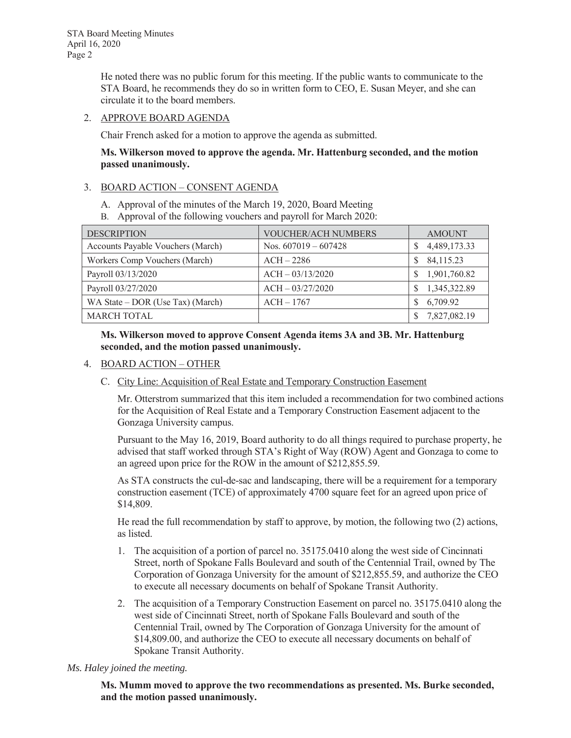He noted there was no public forum for this meeting. If the public wants to communicate to the STA Board, he recommends they do so in written form to CEO, E. Susan Meyer, and she can circulate it to the board members.

### 2. APPROVE BOARD AGENDA

Chair French asked for a motion to approve the agenda as submitted.

### **Ms. Wilkerson moved to approve the agenda. Mr. Hattenburg seconded, and the motion passed unanimously.**

### 3. BOARD ACTION – CONSENT AGENDA

- A. Approval of the minutes of the March 19, 2020, Board Meeting
- B. Approval of the following vouchers and payroll for March 2020:

| <b>DESCRIPTION</b>                | <b>VOUCHER/ACH NUMBERS</b> | <b>AMOUNT</b>     |
|-----------------------------------|----------------------------|-------------------|
| Accounts Payable Vouchers (March) | Nos. $607019 - 607428$     | 4,489,173.33<br>S |
| Workers Comp Vouchers (March)     | $ACH - 2286$               | 84,115.23<br>S    |
| Payroll 03/13/2020                | $ACH - 03/13/2020$         | 1,901,760.82      |
| Payroll 03/27/2020                | $ACH - 03/27/2020$         | 1,345,322.89      |
| WA State – DOR (Use Tax) (March)  | $ACH - 1767$               | 6,709.92<br>S     |
| <b>MARCH TOTAL</b>                |                            | 7,827,082.19      |

**Ms. Wilkerson moved to approve Consent Agenda items 3A and 3B. Mr. Hattenburg seconded, and the motion passed unanimously.** 

- 4. BOARD ACTION OTHER
	- C. City Line: Acquisition of Real Estate and Temporary Construction Easement

Mr. Otterstrom summarized that this item included a recommendation for two combined actions for the Acquisition of Real Estate and a Temporary Construction Easement adjacent to the Gonzaga University campus.

Pursuant to the May 16, 2019, Board authority to do all things required to purchase property, he advised that staff worked through STA's Right of Way (ROW) Agent and Gonzaga to come to an agreed upon price for the ROW in the amount of \$212,855.59.

As STA constructs the cul-de-sac and landscaping, there will be a requirement for a temporary construction easement (TCE) of approximately 4700 square feet for an agreed upon price of \$14,809.

He read the full recommendation by staff to approve, by motion, the following two (2) actions, as listed.

- 1. The acquisition of a portion of parcel no. 35175.0410 along the west side of Cincinnati Street, north of Spokane Falls Boulevard and south of the Centennial Trail, owned by The Corporation of Gonzaga University for the amount of \$212,855.59, and authorize the CEO to execute all necessary documents on behalf of Spokane Transit Authority.
- 2. The acquisition of a Temporary Construction Easement on parcel no. 35175.0410 along the west side of Cincinnati Street, north of Spokane Falls Boulevard and south of the Centennial Trail, owned by The Corporation of Gonzaga University for the amount of \$14,809.00, and authorize the CEO to execute all necessary documents on behalf of Spokane Transit Authority.

#### *Ms. Haley joined the meeting.*

**Ms. Mumm moved to approve the two recommendations as presented. Ms. Burke seconded, and the motion passed unanimously.**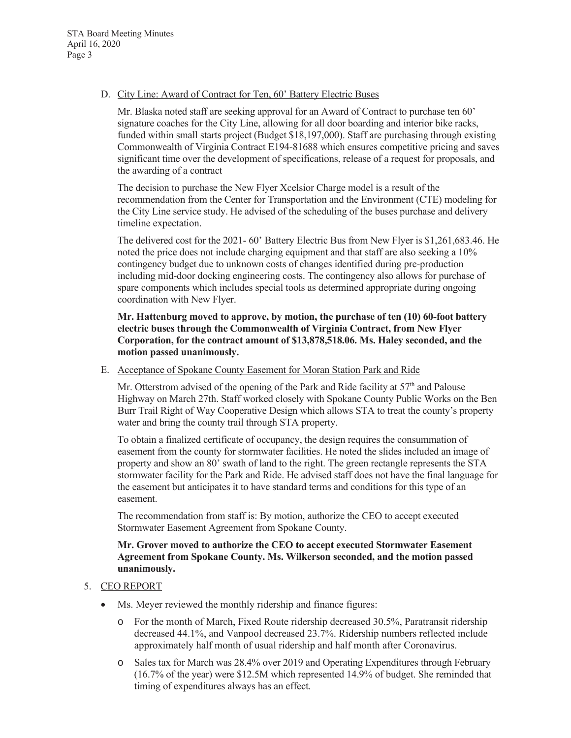D. City Line: Award of Contract for Ten, 60' Battery Electric Buses

Mr. Blaska noted staff are seeking approval for an Award of Contract to purchase ten 60' signature coaches for the City Line, allowing for all door boarding and interior bike racks, funded within small starts project (Budget \$18,197,000). Staff are purchasing through existing Commonwealth of Virginia Contract E194-81688 which ensures competitive pricing and saves significant time over the development of specifications, release of a request for proposals, and the awarding of a contract

The decision to purchase the New Flyer Xcelsior Charge model is a result of the recommendation from the Center for Transportation and the Environment (CTE) modeling for the City Line service study. He advised of the scheduling of the buses purchase and delivery timeline expectation.

The delivered cost for the 2021- 60' Battery Electric Bus from New Flyer is \$1,261,683.46. He noted the price does not include charging equipment and that staff are also seeking a 10% contingency budget due to unknown costs of changes identified during pre-production including mid-door docking engineering costs. The contingency also allows for purchase of spare components which includes special tools as determined appropriate during ongoing coordination with New Flyer.

**Mr. Hattenburg moved to approve, by motion, the purchase of ten (10) 60-foot battery electric buses through the Commonwealth of Virginia Contract, from New Flyer Corporation, for the contract amount of \$13,878,518.06. Ms. Haley seconded, and the motion passed unanimously.**

E. Acceptance of Spokane County Easement for Moran Station Park and Ride

Mr. Otterstrom advised of the opening of the Park and Ride facility at  $57<sup>th</sup>$  and Palouse Highway on March 27th. Staff worked closely with Spokane County Public Works on the Ben Burr Trail Right of Way Cooperative Design which allows STA to treat the county's property water and bring the county trail through STA property.

To obtain a finalized certificate of occupancy, the design requires the consummation of easement from the county for stormwater facilities. He noted the slides included an image of property and show an 80' swath of land to the right. The green rectangle represents the STA stormwater facility for the Park and Ride. He advised staff does not have the final language for the easement but anticipates it to have standard terms and conditions for this type of an easement.

The recommendation from staff is: By motion, authorize the CEO to accept executed Stormwater Easement Agreement from Spokane County.

## **Mr. Grover moved to authorize the CEO to accept executed Stormwater Easement Agreement from Spokane County. Ms. Wilkerson seconded, and the motion passed unanimously.**

# 5. CEO REPORT

- Ms. Meyer reviewed the monthly ridership and finance figures:
	- o For the month of March, Fixed Route ridership decreased 30.5%, Paratransit ridership decreased 44.1%, and Vanpool decreased 23.7%. Ridership numbers reflected include approximately half month of usual ridership and half month after Coronavirus.
	- o Sales tax for March was 28.4% over 2019 and Operating Expenditures through February (16.7% of the year) were \$12.5M which represented 14.9% of budget. She reminded that timing of expenditures always has an effect.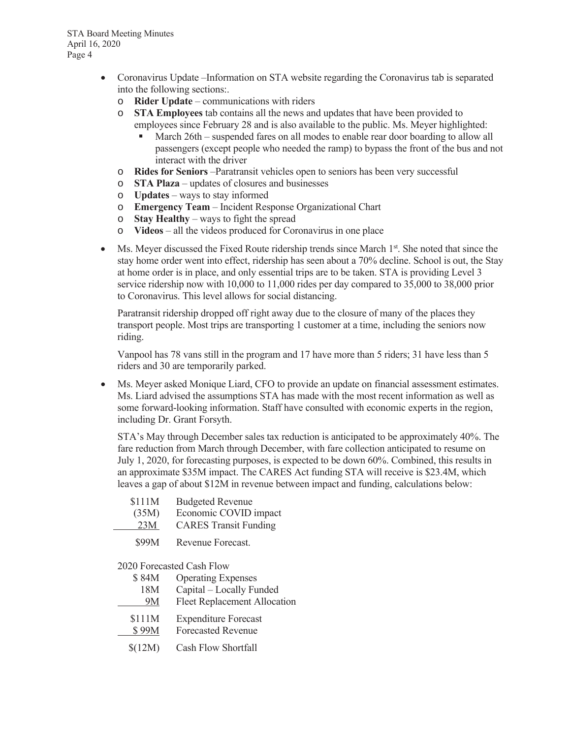- Coronavirus Update –Information on STA website regarding the Coronavirus tab is separated into the following sections:.
	- o **Rider Update** communications with riders
	- o **STA Employees** tab contains all the news and updates that have been provided to employees since February 28 and is also available to the public. Ms. Meyer highlighted:
		- March 26th suspended fares on all modes to enable rear door boarding to allow all passengers (except people who needed the ramp) to bypass the front of the bus and not interact with the driver
	- o **Rides for Seniors** –Paratransit vehicles open to seniors has been very successful
	- o **STA Plaza** updates of closures and businesses
	- o **Updates** ways to stay informed
	- o **Emergency Team** Incident Response Organizational Chart
	- o **Stay Healthy** ways to fight the spread
	- o **Videos** all the videos produced for Coronavirus in one place
- $\bullet$  Ms. Meyer discussed the Fixed Route ridership trends since March  $1<sup>st</sup>$ . She noted that since the stay home order went into effect, ridership has seen about a 70% decline. School is out, the Stay at home order is in place, and only essential trips are to be taken. STA is providing Level 3 service ridership now with 10,000 to 11,000 rides per day compared to 35,000 to 38,000 prior to Coronavirus. This level allows for social distancing.

Paratransit ridership dropped off right away due to the closure of many of the places they transport people. Most trips are transporting 1 customer at a time, including the seniors now riding.

Vanpool has 78 vans still in the program and 17 have more than 5 riders; 31 have less than 5 riders and 30 are temporarily parked.

• Ms. Meyer asked Monique Liard, CFO to provide an update on financial assessment estimates. Ms. Liard advised the assumptions STA has made with the most recent information as well as some forward-looking information. Staff have consulted with economic experts in the region, including Dr. Grant Forsyth.

STA's May through December sales tax reduction is anticipated to be approximately 40%. The fare reduction from March through December, with fare collection anticipated to resume on July 1, 2020, for forecasting purposes, is expected to be down 60%. Combined, this results in an approximate \$35M impact. The CARES Act funding STA will receive is \$23.4M, which leaves a gap of about \$12M in revenue between impact and funding, calculations below:

| \$111M | <b>Budgeted Revenue</b>      |
|--------|------------------------------|
| (35M)  | Economic COVID impact        |
| 23M    | <b>CARES Transit Funding</b> |
|        |                              |

\$99M Revenue Forecast.

2020 Forecasted Cash Flow

\$ 84M Operating Expenses 18M Capital – Locally Funded 9M Fleet Replacement Allocation \$111M Expenditure Forecast \$ 99M Forecasted Revenue \$(12M) Cash Flow Shortfall